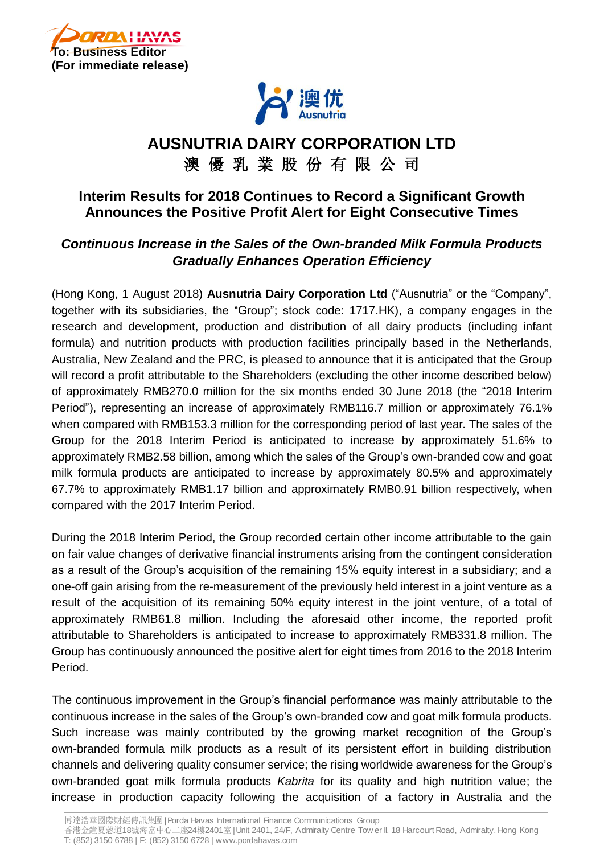



# **AUSNUTRIA DAIRY CORPORATION LTD** 澳 優 乳 業 股 份 有 限 公 司

## **Interim Results for 2018 Continues to Record a Significant Growth Announces the Positive Profit Alert for Eight Consecutive Times**

## *Continuous Increase in the Sales of the Own-branded Milk Formula Products Gradually Enhances Operation Efficiency*

(Hong Kong, 1 August 2018) **Ausnutria Dairy Corporation Ltd** ("Ausnutria" or the "Company", together with its subsidiaries, the "Group"; stock code: 1717.HK), a company engages in the research and development, production and distribution of all dairy products (including infant formula) and nutrition products with production facilities principally based in the Netherlands, Australia, New Zealand and the PRC, is pleased to announce that it is anticipated that the Group will record a profit attributable to the Shareholders (excluding the other income described below) of approximately RMB270.0 million for the six months ended 30 June 2018 (the "2018 Interim Period"), representing an increase of approximately RMB116.7 million or approximately 76.1% when compared with RMB153.3 million for the corresponding period of last year. The sales of the Group for the 2018 Interim Period is anticipated to increase by approximately 51.6% to approximately RMB2.58 billion, among which the sales of the Group's own-branded cow and goat milk formula products are anticipated to increase by approximately 80.5% and approximately 67.7% to approximately RMB1.17 billion and approximately RMB0.91 billion respectively, when compared with the 2017 Interim Period.

During the 2018 Interim Period, the Group recorded certain other income attributable to the gain on fair value changes of derivative financial instruments arising from the contingent consideration as a result of the Group's acquisition of the remaining 15% equity interest in a subsidiary; and a one-off gain arising from the re-measurement of the previously held interest in a joint venture as a result of the acquisition of its remaining 50% equity interest in the joint venture, of a total of approximately RMB61.8 million. Including the aforesaid other income, the reported profit attributable to Shareholders is anticipated to increase to approximately RMB331.8 million. The Group has continuously announced the positive alert for eight times from 2016 to the 2018 Interim Period.

The continuous improvement in the Group's financial performance was mainly attributable to the continuous increase in the sales of the Group's own-branded cow and goat milk formula products. Such increase was mainly contributed by the growing market recognition of the Group's own-branded formula milk products as a result of its persistent effort in building distribution channels and delivering quality consumer service; the rising worldwide awareness for the Group's own-branded goat milk formula products *Kabrita* for its quality and high nutrition value; the